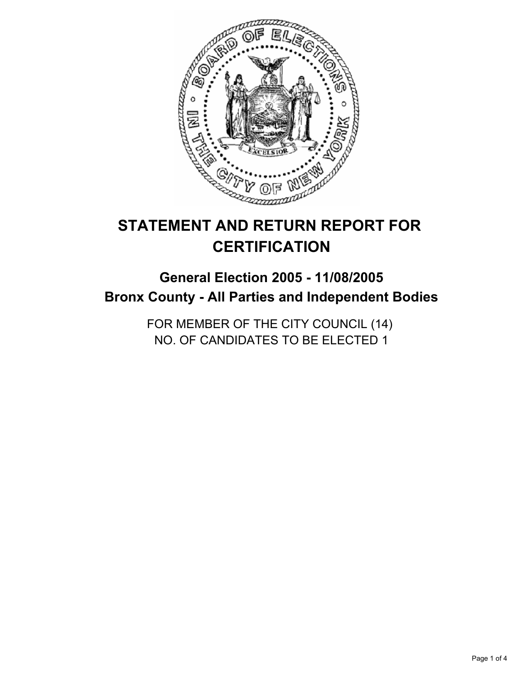

# **STATEMENT AND RETURN REPORT FOR CERTIFICATION**

# **General Election 2005 - 11/08/2005 Bronx County - All Parties and Independent Bodies**

FOR MEMBER OF THE CITY COUNCIL (14) NO. OF CANDIDATES TO BE ELECTED 1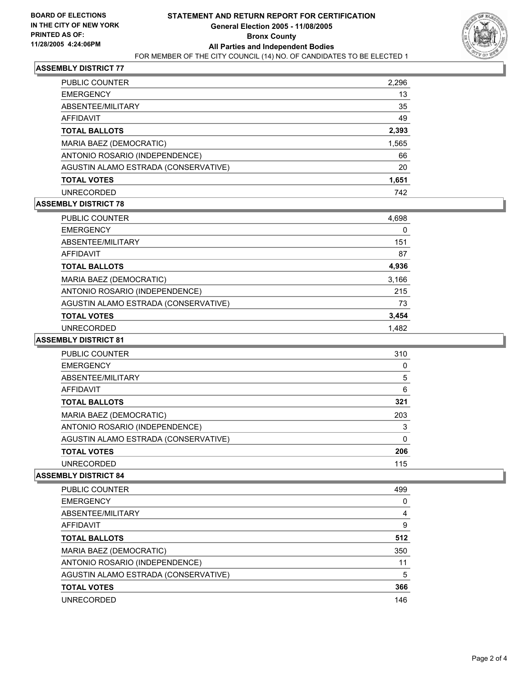

## **ASSEMBLY DISTRICT 77**

| PUBLIC COUNTER                       | 2,296 |
|--------------------------------------|-------|
| <b>EMERGENCY</b>                     | 13    |
| ABSENTEE/MILITARY                    | 35    |
| AFFIDAVIT                            | 49    |
| <b>TOTAL BALLOTS</b>                 | 2,393 |
| MARIA BAEZ (DEMOCRATIC)              | 1,565 |
| ANTONIO ROSARIO (INDEPENDENCE)       | 66    |
| AGUSTIN ALAMO ESTRADA (CONSERVATIVE) | 20    |
| <b>TOTAL VOTES</b>                   | 1,651 |
| UNRECORDED                           | 742   |

#### **ASSEMBLY DISTRICT 78**

| <b>PUBLIC COUNTER</b>                | 4,698 |  |
|--------------------------------------|-------|--|
| <b>EMERGENCY</b>                     | 0     |  |
| ABSENTEE/MILITARY                    | 151   |  |
| AFFIDAVIT                            | 87    |  |
| <b>TOTAL BALLOTS</b>                 | 4,936 |  |
| MARIA BAEZ (DEMOCRATIC)              | 3,166 |  |
| ANTONIO ROSARIO (INDEPENDENCE)       | 215   |  |
| AGUSTIN ALAMO ESTRADA (CONSERVATIVE) | 73    |  |
| <b>TOTAL VOTES</b>                   | 3,454 |  |
| <b>UNRECORDED</b>                    | 1.482 |  |

### **ASSEMBLY DISTRICT 81**

| PUBLIC COUNTER                       | 310 |
|--------------------------------------|-----|
| <b>EMERGENCY</b>                     |     |
| ABSENTEE/MILITARY                    | 5   |
| <b>AFFIDAVIT</b>                     | 6   |
| <b>TOTAL BALLOTS</b>                 | 321 |
| MARIA BAEZ (DEMOCRATIC)              | 203 |
| ANTONIO ROSARIO (INDEPENDENCE)       | 3   |
| AGUSTIN ALAMO ESTRADA (CONSERVATIVE) |     |
| <b>TOTAL VOTES</b>                   | 206 |
| <b>UNRECORDED</b>                    | 115 |

#### **ASSEMBLY DISTRICT 84**

| <b>PUBLIC COUNTER</b>                | 499 |
|--------------------------------------|-----|
| <b>EMERGENCY</b>                     |     |
| ABSENTEE/MILITARY                    | 4   |
| AFFIDAVIT                            | 9   |
| <b>TOTAL BALLOTS</b>                 | 512 |
| MARIA BAEZ (DEMOCRATIC)              | 350 |
| ANTONIO ROSARIO (INDEPENDENCE)       | 11  |
| AGUSTIN ALAMO ESTRADA (CONSERVATIVE) | 5   |
| <b>TOTAL VOTES</b>                   | 366 |
| UNRECORDED                           | 146 |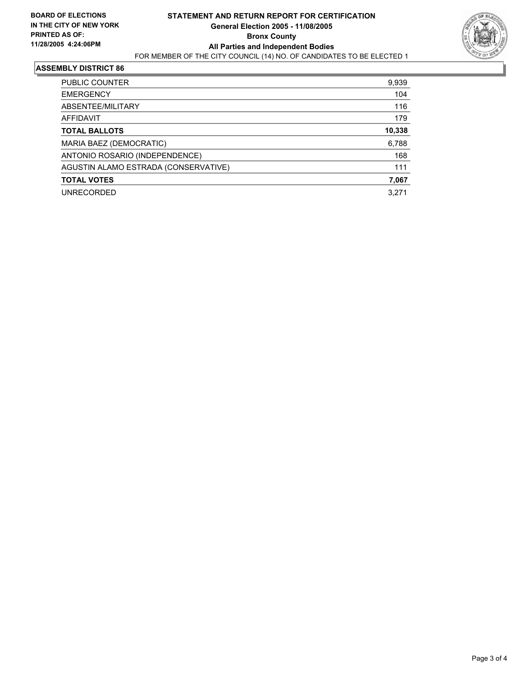

#### **ASSEMBLY DISTRICT 86**

| 9,939  |
|--------|
| 104    |
| 116    |
| 179    |
| 10,338 |
| 6,788  |
| 168    |
| 111    |
| 7,067  |
| 3.271  |
|        |